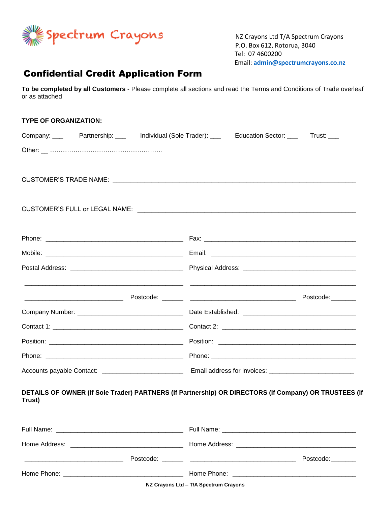

 NZ Crayons Ltd T/A Spectrum Crayons P.O. Box 612, Rotorua, 3040 Tel: 07 4600200 Email: **[admin@spectrumcrayons.co.nz](mailto:admin@spectrumcrayons.co.nz)**

## Confidential Credit Application Form

**To be completed by all Customers** - Please complete all sections and read the Terms and Conditions of Trade overleaf or as attached

| <b>TYPE OF ORGANIZATION:</b>                                     |                                                                                                       |
|------------------------------------------------------------------|-------------------------------------------------------------------------------------------------------|
|                                                                  | Company: _____ Partnership: ____ Individual (Sole Trader): ____ Education Sector: ____ Trust: ___     |
|                                                                  |                                                                                                       |
|                                                                  |                                                                                                       |
|                                                                  |                                                                                                       |
|                                                                  |                                                                                                       |
|                                                                  |                                                                                                       |
|                                                                  |                                                                                                       |
|                                                                  |                                                                                                       |
|                                                                  |                                                                                                       |
|                                                                  |                                                                                                       |
|                                                                  |                                                                                                       |
|                                                                  |                                                                                                       |
|                                                                  |                                                                                                       |
|                                                                  |                                                                                                       |
|                                                                  |                                                                                                       |
|                                                                  |                                                                                                       |
|                                                                  |                                                                                                       |
| Trust)                                                           | DETAILS OF OWNER (If Sole Trader) PARTNERS (If Partnership) OR DIRECTORS (If Company) OR TRUSTEES (If |
|                                                                  |                                                                                                       |
|                                                                  |                                                                                                       |
|                                                                  |                                                                                                       |
| <u> 1980 - Jan James James Barnett, fransk politik (d. 1980)</u> | Postcode:                                                                                             |
|                                                                  |                                                                                                       |
|                                                                  | NZ Crayons Ltd - T/A Spectrum Crayons                                                                 |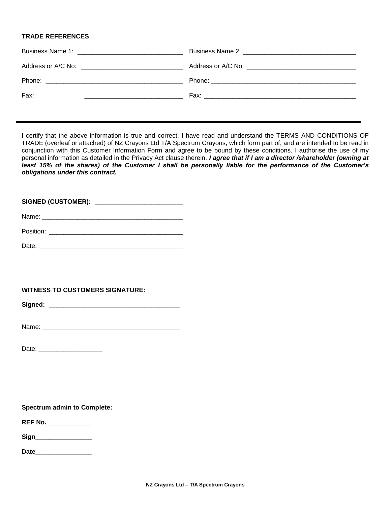## **TRADE REFERENCES**

| Fax: |  |
|------|--|

I certify that the above information is true and correct. I have read and understand the TERMS AND CONDITIONS OF TRADE (overleaf or attached) of NZ Crayons Ltd T/A Spectrum Crayons, which form part of, and are intended to be read in conjunction with this Customer Information Form and agree to be bound by these conditions. I authorise the use of my personal information as detailed in the Privacy Act clause therein. *I agree that if I am a director /shareholder (owning at least 15% of the shares) of the Customer I shall be personally liable for the performance of the Customer's obligations under this contract.*

**SIGNED (CUSTOMER):** \_\_\_\_\_\_\_\_\_\_\_\_\_\_\_\_\_\_\_\_\_\_\_\_\_

| Name: |  |
|-------|--|
|       |  |

| Position: |  |
|-----------|--|
|           |  |

Date: \_\_\_\_\_\_\_\_\_\_\_\_\_\_\_\_\_\_\_\_\_\_\_\_\_\_\_\_\_\_\_\_\_\_\_\_\_\_\_\_\_

**WITNESS TO CUSTOMERS SIGNATURE:**

**Signed: \_\_\_\_\_\_\_\_\_\_\_\_\_\_\_\_\_\_\_\_\_\_\_\_\_\_\_\_\_\_\_\_\_\_\_\_\_**

Name: \_\_\_\_\_\_\_\_\_\_\_\_\_\_\_\_\_\_\_\_\_\_\_\_\_\_\_\_\_\_\_\_\_\_\_\_\_\_\_

Date: \_\_\_\_\_\_\_\_\_\_\_\_\_\_\_\_\_\_

**Spectrum admin to Complete:** 

**REF No.\_\_\_\_\_\_\_\_\_\_\_\_\_**

**Sign\_\_\_\_\_\_\_\_\_\_\_\_\_\_\_\_**

**Date\_\_\_\_\_\_\_\_\_\_\_\_\_\_\_\_**